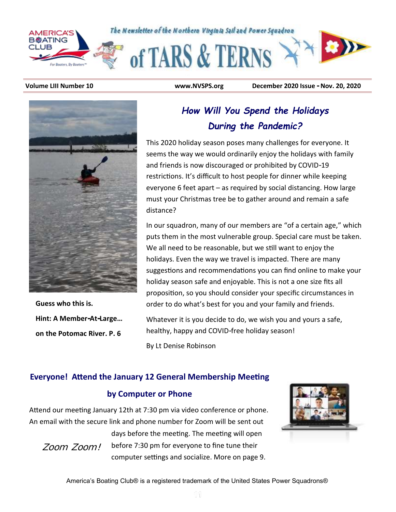

**Volume LIII Number 10 www.NVSPS.org December 2020 Issue - Nov. 20, 2020**



**Guess who this is. Hint: A Member-At-Large… on the Potomac River. P. 6**

## *How Will You Spend the Holidays During the Pandemic?*

This 2020 holiday season poses many challenges for everyone. It seems the way we would ordinarily enjoy the holidays with family and friends is now discouraged or prohibited by COVID-19 restrictions. It's difficult to host people for dinner while keeping everyone 6 feet apart – as required by social distancing. How large must your Christmas tree be to gather around and remain a safe distance?

In our squadron, many of our members are "of a certain age," which puts them in the most vulnerable group. Special care must be taken. We all need to be reasonable, but we still want to enjoy the holidays. Even the way we travel is impacted. There are many suggestions and recommendations you can find online to make your holiday season safe and enjoyable. This is not a one size fits all proposition, so you should consider your specific circumstances in order to do what's best for you and your family and friends.

Whatever it is you decide to do, we wish you and yours a safe, healthy, happy and COVID-free holiday season!

By Lt Denise Robinson

#### **Everyone! Attend the January 12 General Membership Meeting**

#### **by Computer or Phone**

Attend our meeting January 12th at 7:30 pm via video conference or phone. An email with the secure link and phone number for Zoom will be sent out

*Zoom Zoom!* 

days before the meeting. The meeting will open before 7:30 pm for everyone to fine tune their computer settings and socialize. More on page 9.

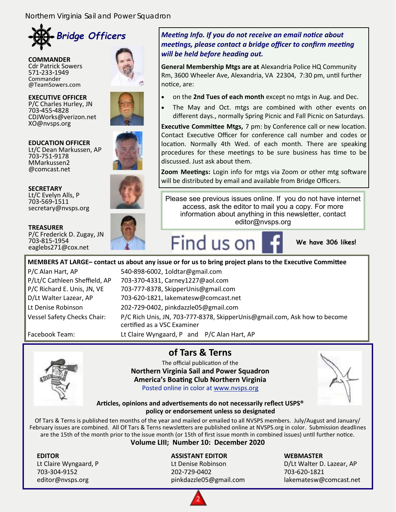

**COMMANDER** Cdr Patrick Sowers 571-233-1949 Commander @TeamSowers.com

**EXECUTIVE OFFICER** P/C Charles Hurley, JN 703-455-4828 CDJWorks@verizon.net XO@nvsps.org



**EDUCATION OFFICER** Lt/C Dean Markussen, AP 703-751-9178 MMarkussen2 @comcast.net



**SECRETARY** Lt/C Evelyn Alls, P 703-569-1511 secretary@nvsps.org

P/C Frederick D. Zugay, JN

**TREASURER**

703-815-1954 eaglebs271@cox.net



#### *Meeting Info. If you do not receive an email notice about meetings, please contact a bridge officer to confirm meeting will be held before heading out.*

**General Membership Mtgs are at** Alexandria Police HQ Community Rm, 3600 Wheeler Ave, Alexandria, VA 22304, 7:30 pm, until further notice, are:

- on the **2nd Tues of each month** except no mtgs in Aug. and Dec.
- The May and Oct. mtgs are combined with other events on different days., normally Spring Picnic and Fall Picnic on Saturdays.

**Executive Committee Mtgs,** 7 pm: by Conference call or new location. Contact Executive Officer for conference call number and codes or location. Normally 4th Wed. of each month. There are speaking procedures for these meetings to be sure business has time to be discussed. Just ask about them.

**Zoom Meetings:** Login info for mtgs via Zoom or other mtg software will be distributed by email and available from Bridge Officers.

Please see previous issues online. If you do not have internet access, ask the editor to mail you a copy. For more information about anything in this newsletter, contact editor@nvsps.org



**We have 306 likes!**

**MEMBERS AT LARGE– contact us about any issue or for us to bring project plans to the Executive Committee** P/C Alan Hart, AP 540-898-6002, 1oldtar@gmail.com

P/Lt/C Cathleen Sheffield, AP 703-370-4331, Carney1227@aol.com P/C Richard E. Unis, JN, VE 703-777-8378, SkipperUnis@gmail.com D/Lt Walter Lazear, AP 703-620-1821, lakematesw@comcast.net Lt Denise Robinson 202-729-0402, pinkdazzle05@gmail.com Vessel Safety Checks Chair: P/C Rich Unis, JN, 703-777-8378, SkipperUnis@gmail.com, Ask how to become certified as a VSC Examiner Facebook Team: Lt Claire Wyngaard, P and P/C Alan Hart, AP

## **of Tars & Terns**

The official publication of the **Northern Virginia Sail and Power Squadron America's Boating Club Northern Virginia** Posted online in color at [www.nvsps.org](http://www.nvsps.org)



**Articles, opinions and advertisements do not necessarily reflect USPS® policy or endorsement unless so designated**

Of Tars & Terns is published ten months of the year and mailed or emailed to all NVSPS members. July/August and January/ February issues are combined. All Of Tars & Terns newsletters are published online at NVSPS.org in color. Submission deadlines are the 15th of the month prior to the issue month (or 15th of first issue month in combined issues) until further notice.

#### **Volume LIII; Number 10: December 2020**

703-304-9152 202-729-0402 703-620-1821

#### **EDITOR ASSISTANT EDITOR WEBMASTER**

Lt Claire Wyngaard, P Lt Denise Robinson D/Lt Walter D. Lazear, AP editor@nvsps.org pinkdazzle05@gmail.com lakematesw@comcast.net

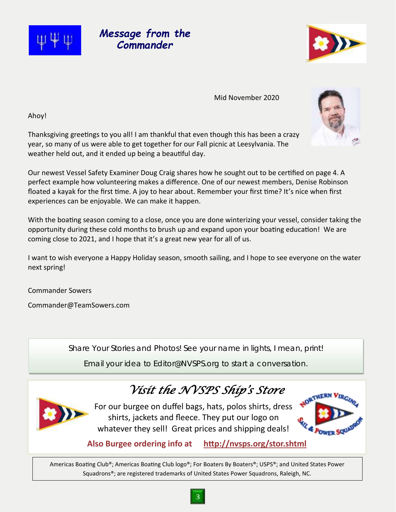## *Message from the Commander*

Mid November 2020

Ahoy!

Thanksgiving greetings to you all! I am thankful that even though this has been a crazy year, so many of us were able to get together for our Fall picnic at Leesylvania. The weather held out, and it ended up being a beautiful day.

Our newest Vessel Safety Examiner Doug Craig shares how he sought out to be certified on page 4. A perfect example how volunteering makes a difference. One of our newest members, Denise Robinson floated a kayak for the first time. A joy to hear about. Remember your first time? It's nice when first experiences can be enjoyable. We can make it happen.

With the boating season coming to a close, once you are done winterizing your vessel, consider taking the opportunity during these cold months to brush up and expand upon your boating education! We are coming close to 2021, and I hope that it's a great new year for all of us.

I want to wish everyone a Happy Holiday season, smooth sailing, and I hope to see everyone on the water next spring!

Commander Sowers

[Commander@TeamSowers.com](mailto:Commander@TeamSowers.com)

Share Your Stories and Photos! See your name in lights, I mean, print!

Email your idea to Editor@NVSPS.org to start a conversation.

# *Visit the NVSPS Ship's Store*

For our burgee on duffel bags, hats, polos shirts, dress shirts, jackets and fleece. They put our logo on whatever they sell! Great prices and shipping deals!

**Also Burgee ordering info at <http://nvsps.org/stor.shtml>**

Americas Boating Club®; Americas Boating Club logo®; For Boaters By Boaters®; USPS®; and United States Power Squadrons®; are registered trademarks of United States Power Squadrons, Raleigh, NC.





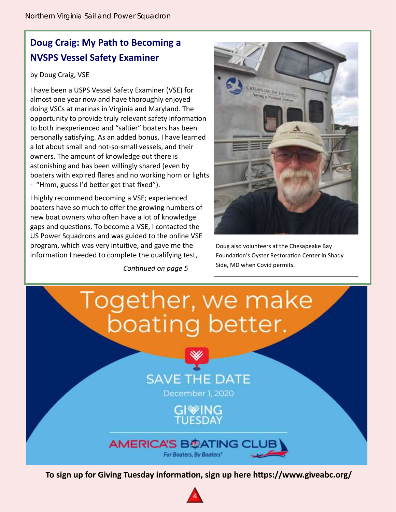## **Doug Craig: My Path to Becoming a NVSPS Vessel Safety Examiner**

#### by Doug Craig, VSE

I have been a USPS Vessel Safety Examiner (VSE) for almost one year now and have thoroughly enjoyed doing VSCs at marinas in Virginia and Maryland. The opportunity to provide truly relevant safety information to both inexperienced and "saltier" boaters has been personally satisfying. As an added bonus, I have learned a lot about small and not-so-small vessels, and their owners. The amount of knowledge out there is astonishing and has been willingly shared (even by boaters with expired flares and no working horn or lights - "Hmm, guess I'd better get that fixed").

I highly recommend becoming a VSE; experienced boaters have so much to offer the growing numbers of new boat owners who often have a lot of knowledge gaps and questions. To become a VSE, I contacted the US Power Squadrons and was guided to the online VSE program, which was very intuitive, and gave me the information I needed to complete the qualifying test,

*Continued on page 5*



Doug also volunteers at the Chesapeake Bay Foundation's Oyster Restoration Center in Shady Side, MD when Covid permits.



**To sign up for Giving Tuesday information, sign up here https://www.giveabc.org/**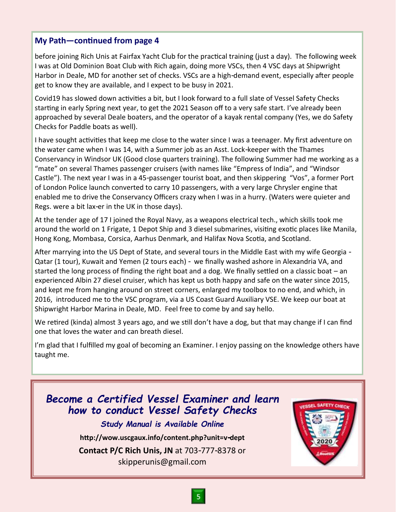#### **My Path—continued from page 4**

before joining Rich Unis at Fairfax Yacht Club for the practical training (just a day). The following week I was at Old Dominion Boat Club with Rich again, doing more VSCs, then 4 VSC days at Shipwright Harbor in Deale, MD for another set of checks. VSCs are a high-demand event, especially after people get to know they are available, and I expect to be busy in 2021.

Covid19 has slowed down activities a bit, but I look forward to a full slate of Vessel Safety Checks starting in early Spring next year, to get the 2021 Season off to a very safe start. I've already been approached by several Deale boaters, and the operator of a kayak rental company (Yes, we do Safety Checks for Paddle boats as well).

I have sought activities that keep me close to the water since I was a teenager. My first adventure on the water came when I was 14, with a Summer job as an Asst. Lock-keeper with the Thames Conservancy in Windsor UK (Good close quarters training). The following Summer had me working as a "mate" on several Thames passenger cruisers (with names like "Empress of India", and "Windsor Castle"). The next year I was in a 45-passenger tourist boat, and then skippering "Vos", a former Port of London Police launch converted to carry 10 passengers, with a very large Chrysler engine that enabled me to drive the Conservancy Officers crazy when I was in a hurry. (Waters were quieter and Regs. were a bit lax-er in the UK in those days).

At the tender age of 17 I joined the Royal Navy, as a weapons electrical tech., which skills took me around the world on 1 Frigate, 1 Depot Ship and 3 diesel submarines, visiting exotic places like Manila, Hong Kong, Mombasa, Corsica, Aarhus Denmark, and Halifax Nova Scotia, and Scotland.

After marrying into the US Dept of State, and several tours in the Middle East with my wife Georgia - Qatar (1 tour), Kuwait and Yemen (2 tours each) - we finally washed ashore in Alexandria VA, and started the long process of finding the right boat and a dog. We finally settled on a classic boat – an experienced Albin 27 diesel cruiser, which has kept us both happy and safe on the water since 2015, and kept me from hanging around on street corners, enlarged my toolbox to no end, and which, in 2016, introduced me to the VSC program, via a US Coast Guard Auxiliary VSE. We keep our boat at Shipwright Harbor Marina in Deale, MD. Feel free to come by and say hello.

We retired (kinda) almost 3 years ago, and we still don't have a dog, but that may change if I can find one that loves the water and can breath diesel.

I'm glad that I fulfilled my goal of becoming an Examiner. I enjoy passing on the knowledge others have taught me.

## *Become a Certified Vessel Examiner and learn how to conduct Vessel Safety Checks*

*Study Manual is Available Online*

**http://wow.uscgaux.info/content.php?unit=v-dept**

**Contact P/C Rich Unis, JN** at 703-777-8378 or skipperunis@gmail.com

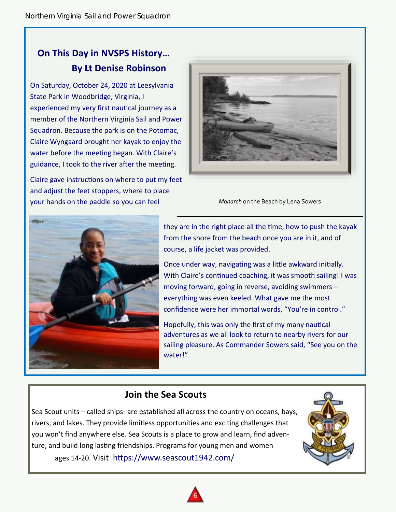## **On This Day in NVSPS History… By Lt Denise Robinson**

On Saturday, October 24, 2020 at Leesylvania State Park in Woodbridge, Virginia, I experienced my very first nautical journey as a member of the Northern Virginia Sail and Power Squadron. Because the park is on the Potomac, Claire Wyngaard brought her kayak to enjoy the water before the meeting began. With Claire's guidance, I took to the river after the meeting.

Claire gave instructions on where to put my feet and adjust the feet stoppers, where to place your hands on the paddle so you can feel



*Monarch* on the Beach by Lena Sowers



they are in the right place all the time, how to push the kayak from the shore from the beach once you are in it, and of course, a life jacket was provided.

Once under way, navigating was a little awkward initially. With Claire's continued coaching, it was smooth sailing! I was moving forward, going in reverse, avoiding swimmers – everything was even keeled. What gave me the most confidence were her immortal words, "You're in control."

Hopefully, this was only the first of my many nautical adventures as we all look to return to nearby rivers for our sailing pleasure. As Commander Sowers said, "See you on the water!"

#### **Join the Sea Scouts**

Sea Scout units – called ships- are established all across the country on oceans, bays, rivers, and lakes. They provide limitless opportunities and exciting challenges that you won't find anywhere else. Sea Scouts is a place to grow and learn, find adventure, and build long lasting friendships. Programs for young men and women ages 14-20. Visit <https://www.seascout1942.com/>



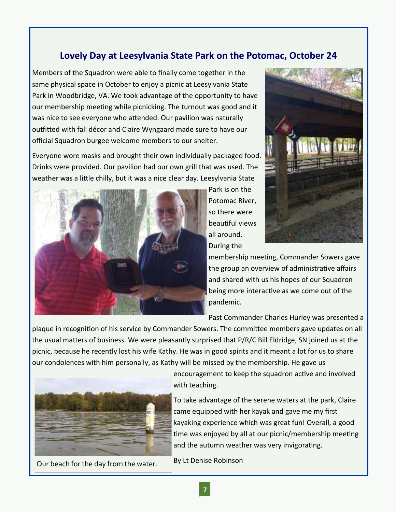## **Lovely Day at Leesylvania State Park on the Potomac, October 24**

Members of the Squadron were able to finally come together in the same physical space in October to enjoy a picnic at Leesylvania State Park in Woodbridge, VA. We took advantage of the opportunity to have our membership meeting while picnicking. The turnout was good and it was nice to see everyone who attended. Our pavilion was naturally outfitted with fall décor and Claire Wyngaard made sure to have our official Squadron burgee welcome members to our shelter.

Everyone wore masks and brought their own individually packaged food. Drinks were provided. Our pavilion had our own grill that was used. The weather was a little chilly, but it was a nice clear day. Leesylvania State



Park is on the Potomac River, so there were beautiful views all around. During the



membership meeting, Commander Sowers gave the group an overview of administrative affairs and shared with us his hopes of our Squadron being more interactive as we come out of the pandemic.

Past Commander Charles Hurley was presented a

plaque in recognition of his service by Commander Sowers. The committee members gave updates on all the usual matters of business. We were pleasantly surprised that P/R/C Bill Eldridge, SN joined us at the picnic, because he recently lost his wife Kathy. He was in good spirits and it meant a lot for us to share our condolences with him personally, as Kathy will be missed by the membership. He gave us



By Lt Denise Robinson Our beach for the day from the water.

encouragement to keep the squadron active and involved with teaching.

To take advantage of the serene waters at the park, Claire came equipped with her kayak and gave me my first kayaking experience which was great fun! Overall, a good time was enjoyed by all at our picnic/membership meeting and the autumn weather was very invigorating.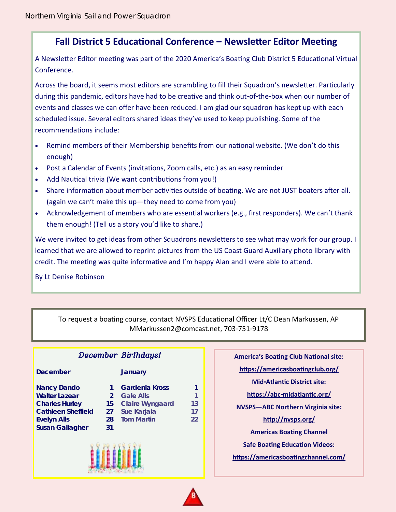#### **Fall District 5 Educational Conference – Newsletter Editor Meeting**

A Newsletter Editor meeting was part of the 2020 America's Boating Club District 5 Educational Virtual Conference.

Across the board, it seems most editors are scrambling to fill their Squadron's newsletter. Particularly during this pandemic, editors have had to be creative and think out-of-the-box when our number of events and classes we can offer have been reduced. I am glad our squadron has kept up with each scheduled issue. Several editors shared ideas they've used to keep publishing. Some of the recommendations include:

- Remind members of their Membership benefits from our national website. (We don't do this enough)
- Post a Calendar of Events (invitations, Zoom calls, etc.) as an easy reminder
- Add Nautical trivia (We want contributions from you!)
- Share information about member activities outside of boating. We are not JUST boaters after all. (again we can't make this up—they need to come from you)
- Acknowledgement of members who are essential workers (e.g., first responders). We can't thank them enough! (Tell us a story you'd like to share.)

We were invited to get ideas from other Squadrons newsletters to see what may work for our group. I learned that we are allowed to reprint pictures from the US Coast Guard Auxiliary photo library with credit. The meeting was quite informative and I'm happy Alan and I were able to attend.

By Lt Denise Robinson

To request a boating course, contact NVSPS Educational Officer Lt/C Dean Markussen, AP MMarkussen2@comcast.net, 703-751-9178

| <b>December Birthdays!</b>                                                                                    |                                       |                                                                                    |                |
|---------------------------------------------------------------------------------------------------------------|---------------------------------------|------------------------------------------------------------------------------------|----------------|
| December                                                                                                      |                                       | January                                                                            |                |
| Nancy Dando<br>Walter Lazear<br><b>Charles Hurley</b><br>Cathleen Sheffield<br>Evelyn Alls<br>Susan Gallagher | $\mathcal{D}$<br>15<br>27<br>28<br>31 | Gardenia Kross<br>Gale Alls<br>Claire Wyngaard<br>Sue Karjala<br><b>Tom Martin</b> | 13<br>17<br>22 |
|                                                                                                               |                                       |                                                                                    |                |

**America's Boating Club National site: <https://americasboatingclub.org/> Mid-Atlantic District site: <https://abc-midatlantic.org/> NVSPS—ABC Northern Virginia site: <http://nvsps.org/> Americas Boating Channel Safe Boating Education Videos: <https://americasboatingchannel.com/>**

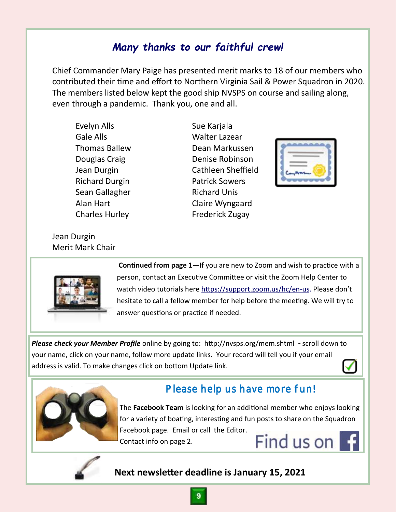## *Many thanks to our faithful crew!*

Chief Commander Mary Paige has presented merit marks to 18 of our members who contributed their time and effort to Northern Virginia Sail & Power Squadron in 2020. The members listed below kept the good ship NVSPS on course and sailing along, even through a pandemic. Thank you, one and all.

Evelyn Alls **Sue Karjala** Gale Alls **Walter Lazear** Thomas Ballew Dean Markussen Douglas Craig **Denise Robinson** Jean Durgin Cathleen Sheffield Richard Durgin Patrick Sowers Sean Gallagher Richard Unis Alan Hart Claire Wyngaard Charles Hurley **Frederick Zugay** 

Jean Durgin Merit Mark Chair



**Continued from page 1**—If you are new to Zoom and wish to practice with a person, contact an Executive Committee or visit the Zoom Help Center to watch video tutorials here [https://support.zoom.us/hc/en-us.](https://support.zoom.us/hc/en-us) Please don't hesitate to call a fellow member for help before the meeting. We will try to answer questions or practice if needed.

*Please check your Member Profile* online by going to: http://nvsps.org/mem.shtml - scroll down to your name, click on your name, follow more update links. Your record will tell you if your email address is valid. To make changes click on bottom Update link.  $\checkmark$ 



## Please help us have more fun!

The **Facebook Team** is looking for an additional member who enjoys looking for a variety of boating, interesting and fun posts to share on the Squadron Facebook page. Email or call the Editor. Find us on **F** Contact info on page 2.